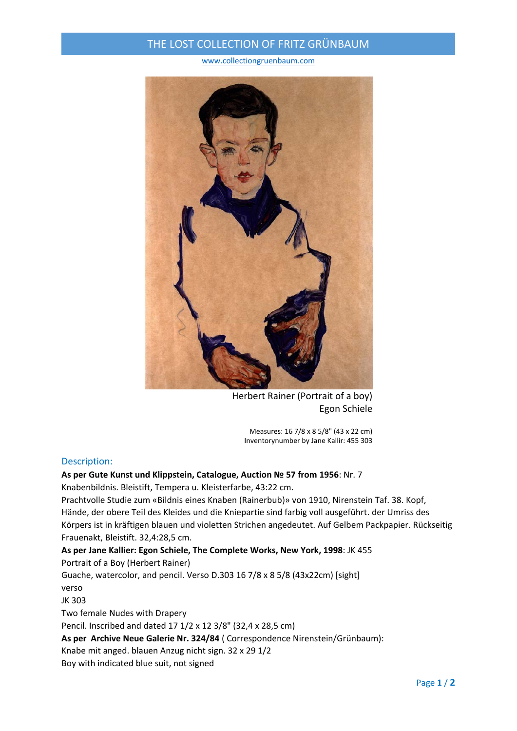# THE LOST COLLECTION OF FRITZ GRÜNBAUM

www.collectiongruenbaum.com



Herbert Rainer (Portrait of a boy) Egon Schiele

Measures: 16 7/8 x 8 5/8" (43 x 22 cm) Inventorynumber by Jane Kallir: 455 303

### Description:

### **As per Gute Kunst und Klippstein, Catalogue, Auction № 57 from 1956**: Nr. 7

Knabenbildnis. Bleistift, Tempera u. Kleisterfarbe, 43:22 cm.

Prachtvolle Studie zum «Bildnis eines Knaben (Rainerbub)» von 1910, Nirenstein Taf. 38. Kopf, Hände, der obere Teil des Kleides und die Kniepartie sind farbig voll ausgeführt. der Umriss des Körpers ist in kräftigen blauen und violetten Strichen angedeutet. Auf Gelbem Packpapier. Rückseitig Frauenakt, Bleistift. 32,4:28,5 cm.

**As per Jane Kallier: Egon Schiele, The Complete Works, New York, 1998**: JK 455 Portrait of a Boy (Herbert Rainer)

Guache, watercolor, and pencil. Verso D.303 16 7/8 x 8 5/8 (43x22cm) [sight]

verso

JK 303

Two female Nudes with Drapery

Pencil. Inscribed and dated 17 1/2 x 12 3/8" (32,4 x 28,5 cm)

**As per Archive Neue Galerie Nr. 324/84** ( Correspondence Nirenstein/Grünbaum):

Knabe mit anged. blauen Anzug nicht sign. 32 x 29 1/2

Boy with indicated blue suit, not signed